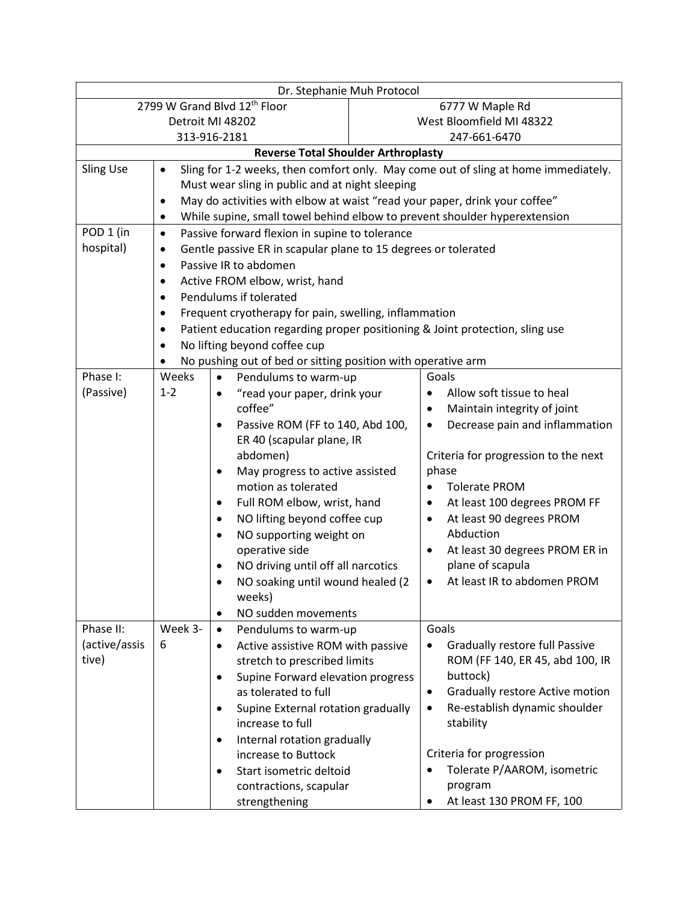| Dr. Stephanie Muh Protocol                                                                                          |                                                                                           |                                                      |                          |                                                                 |  |  |  |
|---------------------------------------------------------------------------------------------------------------------|-------------------------------------------------------------------------------------------|------------------------------------------------------|--------------------------|-----------------------------------------------------------------|--|--|--|
| 2799 W Grand Blvd 12th Floor                                                                                        |                                                                                           |                                                      | 6777 W Maple Rd          |                                                                 |  |  |  |
| Detroit MI 48202                                                                                                    |                                                                                           |                                                      | West Bloomfield MI 48322 |                                                                 |  |  |  |
| 313-916-2181                                                                                                        |                                                                                           |                                                      | 247-661-6470             |                                                                 |  |  |  |
| <b>Reverse Total Shoulder Arthroplasty</b>                                                                          |                                                                                           |                                                      |                          |                                                                 |  |  |  |
| <b>Sling Use</b><br>Sling for 1-2 weeks, then comfort only. May come out of sling at home immediately.<br>$\bullet$ |                                                                                           |                                                      |                          |                                                                 |  |  |  |
|                                                                                                                     | Must wear sling in public and at night sleeping                                           |                                                      |                          |                                                                 |  |  |  |
|                                                                                                                     | May do activities with elbow at waist "read your paper, drink your coffee"<br>$\bullet$   |                                                      |                          |                                                                 |  |  |  |
|                                                                                                                     | While supine, small towel behind elbow to prevent shoulder hyperextension<br>$\bullet$    |                                                      |                          |                                                                 |  |  |  |
| POD 1 (in                                                                                                           | Passive forward flexion in supine to tolerance<br>$\bullet$                               |                                                      |                          |                                                                 |  |  |  |
| hospital)                                                                                                           | Gentle passive ER in scapular plane to 15 degrees or tolerated<br>$\bullet$               |                                                      |                          |                                                                 |  |  |  |
|                                                                                                                     | Passive IR to abdomen<br>$\bullet$                                                        |                                                      |                          |                                                                 |  |  |  |
|                                                                                                                     | Active FROM elbow, wrist, hand<br>$\bullet$                                               |                                                      |                          |                                                                 |  |  |  |
|                                                                                                                     | Pendulums if tolerated<br>$\bullet$                                                       |                                                      |                          |                                                                 |  |  |  |
|                                                                                                                     | Frequent cryotherapy for pain, swelling, inflammation<br>٠                                |                                                      |                          |                                                                 |  |  |  |
|                                                                                                                     | Patient education regarding proper positioning & Joint protection, sling use<br>$\bullet$ |                                                      |                          |                                                                 |  |  |  |
|                                                                                                                     | No lifting beyond coffee cup<br>$\bullet$                                                 |                                                      |                          |                                                                 |  |  |  |
|                                                                                                                     | No pushing out of bed or sitting position with operative arm                              |                                                      |                          |                                                                 |  |  |  |
| Phase I:                                                                                                            | Weeks                                                                                     | Pendulums to warm-up<br>$\bullet$                    |                          | Goals                                                           |  |  |  |
| (Passive)                                                                                                           | $1 - 2$                                                                                   | "read your paper, drink your<br>$\bullet$            |                          | Allow soft tissue to heal<br>$\bullet$                          |  |  |  |
|                                                                                                                     |                                                                                           | coffee"                                              |                          | Maintain integrity of joint<br>٠                                |  |  |  |
|                                                                                                                     |                                                                                           | Passive ROM (FF to 140, Abd 100,<br>٠                |                          | Decrease pain and inflammation<br>$\bullet$                     |  |  |  |
|                                                                                                                     |                                                                                           | ER 40 (scapular plane, IR                            |                          |                                                                 |  |  |  |
|                                                                                                                     |                                                                                           | abdomen)                                             |                          | Criteria for progression to the next                            |  |  |  |
|                                                                                                                     |                                                                                           | May progress to active assisted<br>٠                 |                          | phase                                                           |  |  |  |
|                                                                                                                     |                                                                                           | motion as tolerated                                  |                          | <b>Tolerate PROM</b>                                            |  |  |  |
|                                                                                                                     |                                                                                           | Full ROM elbow, wrist, hand<br>٠                     |                          | At least 100 degrees PROM FF<br>$\bullet$                       |  |  |  |
|                                                                                                                     |                                                                                           | NO lifting beyond coffee cup<br>$\bullet$            |                          | At least 90 degrees PROM<br>$\bullet$<br>Abduction              |  |  |  |
|                                                                                                                     |                                                                                           | NO supporting weight on<br>٠                         |                          |                                                                 |  |  |  |
|                                                                                                                     |                                                                                           | operative side<br>NO driving until off all narcotics |                          | At least 30 degrees PROM ER in<br>$\bullet$<br>plane of scapula |  |  |  |
|                                                                                                                     |                                                                                           | ٠<br>NO soaking until wound healed (2                |                          | At least IR to abdomen PROM<br>$\bullet$                        |  |  |  |
|                                                                                                                     |                                                                                           | weeks)                                               |                          |                                                                 |  |  |  |
|                                                                                                                     |                                                                                           | NO sudden movements<br>$\bullet$                     |                          |                                                                 |  |  |  |
| Phase II:                                                                                                           | Week 3-                                                                                   | Pendulums to warm-up<br>$\bullet$                    |                          | Goals                                                           |  |  |  |
| (active/assis                                                                                                       | 6                                                                                         | Active assistive ROM with passive<br>$\bullet$       |                          | <b>Gradually restore full Passive</b><br>٠                      |  |  |  |
| tive)                                                                                                               |                                                                                           | stretch to prescribed limits                         |                          | ROM (FF 140, ER 45, abd 100, IR                                 |  |  |  |
|                                                                                                                     |                                                                                           | Supine Forward elevation progress<br>٠               |                          | buttock)                                                        |  |  |  |
|                                                                                                                     |                                                                                           | as tolerated to full                                 |                          | Gradually restore Active motion<br>$\bullet$                    |  |  |  |
|                                                                                                                     |                                                                                           | Supine External rotation gradually<br>$\bullet$      |                          | Re-establish dynamic shoulder<br>$\bullet$                      |  |  |  |
|                                                                                                                     |                                                                                           | increase to full                                     |                          | stability                                                       |  |  |  |
|                                                                                                                     |                                                                                           | Internal rotation gradually<br>$\bullet$             |                          |                                                                 |  |  |  |
|                                                                                                                     |                                                                                           | increase to Buttock                                  |                          | Criteria for progression                                        |  |  |  |
|                                                                                                                     |                                                                                           | Start isometric deltoid<br>$\bullet$                 |                          | Tolerate P/AAROM, isometric                                     |  |  |  |
|                                                                                                                     |                                                                                           | contractions, scapular                               |                          | program                                                         |  |  |  |
|                                                                                                                     |                                                                                           | strengthening                                        |                          | At least 130 PROM FF, 100<br>٠                                  |  |  |  |